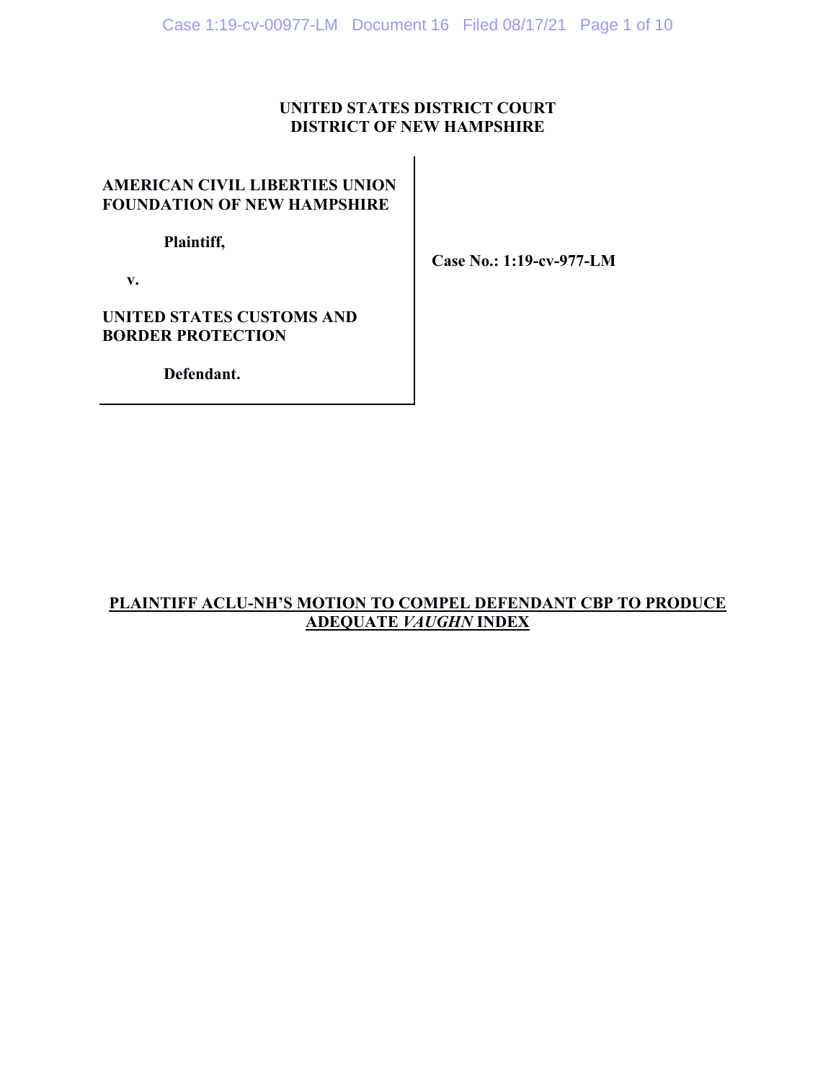## **UNITED STATES DISTRICT COURT DISTRICT OF NEW HAMPSHIRE**

# **AMERICAN CIVIL LIBERTIES UNION FOUNDATION OF NEW HAMPSHIRE**

 **Plaintiff,** 

**Case No.: 1:19-cv-977-LM** 

 **v.** 

**UNITED STATES CUSTOMS AND BORDER PROTECTION** 

 **Defendant.** 

# **PLAINTIFF ACLU-NH'S MOTION TO COMPEL DEFENDANT CBP TO PRODUCE ADEQUATE** *VAUGHN* **INDEX**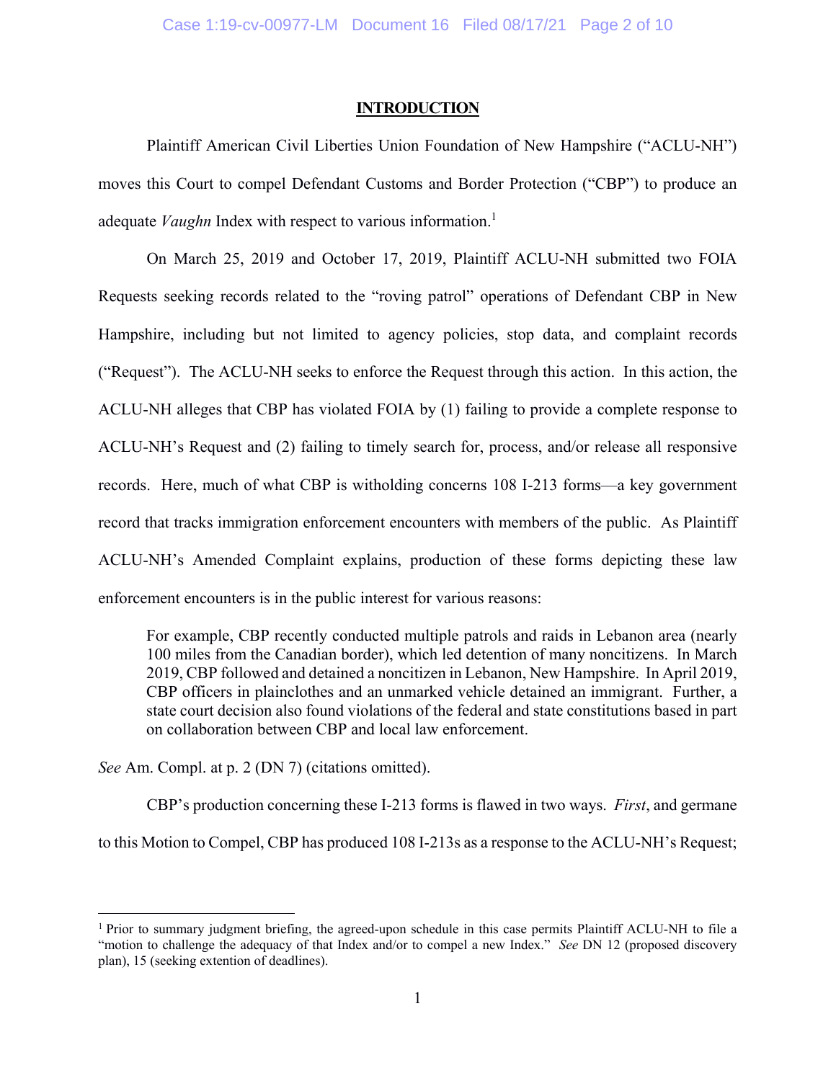#### **INTRODUCTION**

Plaintiff American Civil Liberties Union Foundation of New Hampshire ("ACLU-NH") moves this Court to compel Defendant Customs and Border Protection ("CBP") to produce an adequate *Vaughn* Index with respect to various information.<sup>1</sup>

On March 25, 2019 and October 17, 2019, Plaintiff ACLU-NH submitted two FOIA Requests seeking records related to the "roving patrol" operations of Defendant CBP in New Hampshire, including but not limited to agency policies, stop data, and complaint records ("Request"). The ACLU-NH seeks to enforce the Request through this action. In this action, the ACLU-NH alleges that CBP has violated FOIA by (1) failing to provide a complete response to ACLU-NH's Request and (2) failing to timely search for, process, and/or release all responsive records. Here, much of what CBP is witholding concerns 108 I-213 forms—a key government record that tracks immigration enforcement encounters with members of the public. As Plaintiff ACLU-NH's Amended Complaint explains, production of these forms depicting these law enforcement encounters is in the public interest for various reasons:

For example, CBP recently conducted multiple patrols and raids in Lebanon area (nearly 100 miles from the Canadian border), which led detention of many noncitizens. In March 2019, CBP followed and detained a noncitizen in Lebanon, New Hampshire. In April 2019, CBP officers in plainclothes and an unmarked vehicle detained an immigrant. Further, a state court decision also found violations of the federal and state constitutions based in part on collaboration between CBP and local law enforcement.

*See* Am. Compl. at p. 2 (DN 7) (citations omitted).

 $\overline{a}$ 

CBP's production concerning these I-213 forms is flawed in two ways. *First*, and germane to this Motion to Compel, CBP has produced 108 I-213s as a response to the ACLU-NH's Request;

<sup>&</sup>lt;sup>1</sup> Prior to summary judgment briefing, the agreed-upon schedule in this case permits Plaintiff ACLU-NH to file a "motion to challenge the adequacy of that Index and/or to compel a new Index." *See DN 12* (proposed discovery plan), 15 (seeking extention of deadlines).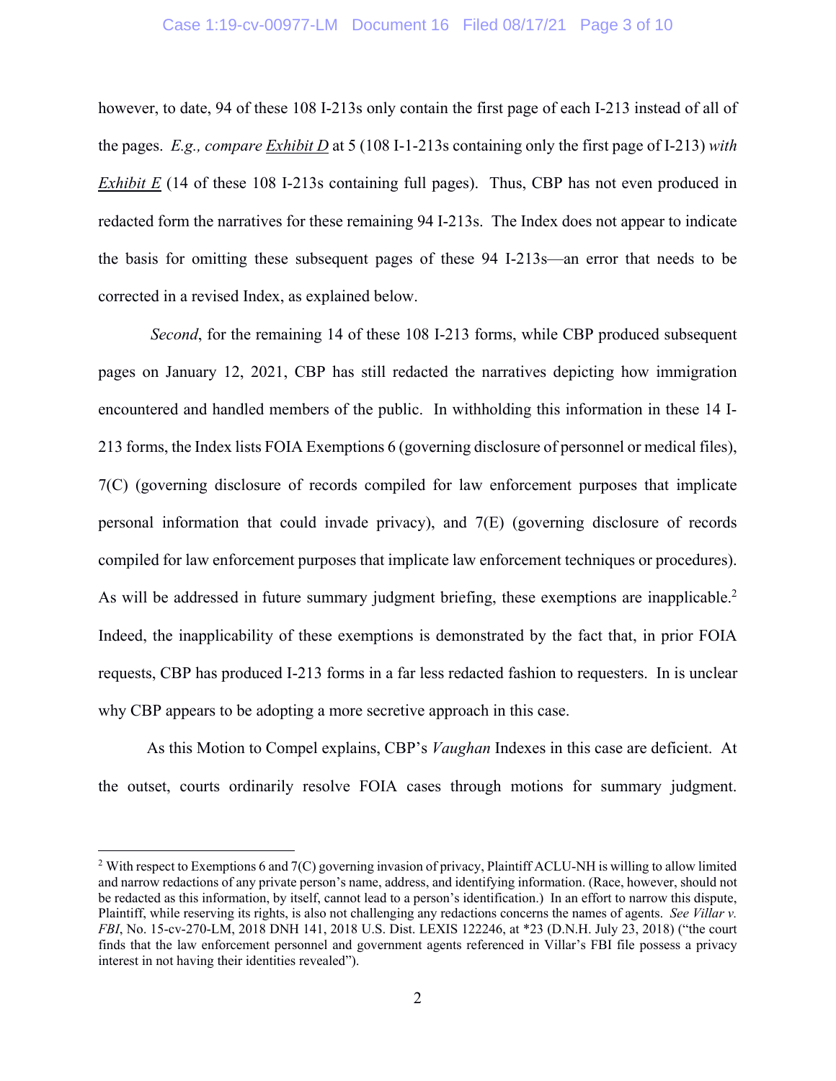however, to date, 94 of these 108 I-213s only contain the first page of each I-213 instead of all of the pages. *E.g., compare Exhibit D* at 5 (108 I-1-213s containing only the first page of I-213) *with Exhibit E* (14 of these 108 I-213s containing full pages). Thus, CBP has not even produced in redacted form the narratives for these remaining 94 I-213s. The Index does not appear to indicate the basis for omitting these subsequent pages of these 94 I-213s—an error that needs to be corrected in a revised Index, as explained below.

*Second*, for the remaining 14 of these 108 I-213 forms, while CBP produced subsequent pages on January 12, 2021, CBP has still redacted the narratives depicting how immigration encountered and handled members of the public. In withholding this information in these 14 I-213 forms, the Index lists FOIA Exemptions 6 (governing disclosure of personnel or medical files), 7(C) (governing disclosure of records compiled for law enforcement purposes that implicate personal information that could invade privacy), and 7(E) (governing disclosure of records compiled for law enforcement purposes that implicate law enforcement techniques or procedures). As will be addressed in future summary judgment briefing, these exemptions are inapplicable.<sup>2</sup> Indeed, the inapplicability of these exemptions is demonstrated by the fact that, in prior FOIA requests, CBP has produced I-213 forms in a far less redacted fashion to requesters. In is unclear why CBP appears to be adopting a more secretive approach in this case.

As this Motion to Compel explains, CBP's *Vaughan* Indexes in this case are deficient. At the outset, courts ordinarily resolve FOIA cases through motions for summary judgment.

<u>.</u>

<sup>&</sup>lt;sup>2</sup> With respect to Exemptions 6 and 7(C) governing invasion of privacy, Plaintiff ACLU-NH is willing to allow limited and narrow redactions of any private person's name, address, and identifying information. (Race, however, should not be redacted as this information, by itself, cannot lead to a person's identification.) In an effort to narrow this dispute, Plaintiff, while reserving its rights, is also not challenging any redactions concerns the names of agents. *See Villar v. FBI*, No. 15-cv-270-LM, 2018 DNH 141, 2018 U.S. Dist. LEXIS 122246, at \*23 (D.N.H. July 23, 2018) ("the court finds that the law enforcement personnel and government agents referenced in Villar's FBI file possess a privacy interest in not having their identities revealed").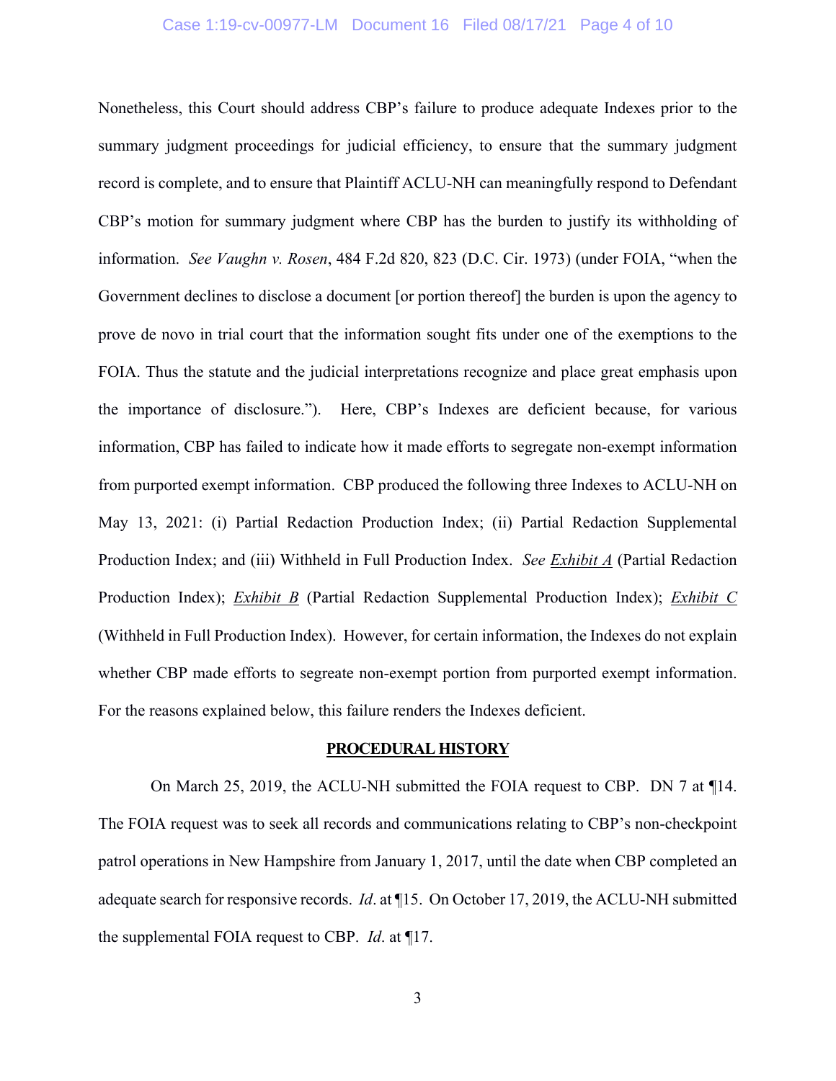## Case 1:19-cv-00977-LM Document 16 Filed 08/17/21 Page 4 of 10

Nonetheless, this Court should address CBP's failure to produce adequate Indexes prior to the summary judgment proceedings for judicial efficiency, to ensure that the summary judgment record is complete, and to ensure that Plaintiff ACLU-NH can meaningfully respond to Defendant CBP's motion for summary judgment where CBP has the burden to justify its withholding of information. *See Vaughn v. Rosen*, 484 F.2d 820, 823 (D.C. Cir. 1973) (under FOIA, "when the Government declines to disclose a document [or portion thereof] the burden is upon the agency to prove de novo in trial court that the information sought fits under one of the exemptions to the FOIA. Thus the statute and the judicial interpretations recognize and place great emphasis upon the importance of disclosure."). Here, CBP's Indexes are deficient because, for various information, CBP has failed to indicate how it made efforts to segregate non-exempt information from purported exempt information. CBP produced the following three Indexes to ACLU-NH on May 13, 2021: (i) Partial Redaction Production Index; (ii) Partial Redaction Supplemental Production Index; and (iii) Withheld in Full Production Index. *See Exhibit A* (Partial Redaction Production Index); *Exhibit B* (Partial Redaction Supplemental Production Index); *Exhibit C* (Withheld in Full Production Index). However, for certain information, the Indexes do not explain whether CBP made efforts to segreate non-exempt portion from purported exempt information. For the reasons explained below, this failure renders the Indexes deficient.

#### **PROCEDURAL HISTORY**

 On March 25, 2019, the ACLU-NH submitted the FOIA request to CBP. DN 7 at ¶14. The FOIA request was to seek all records and communications relating to CBP's non-checkpoint patrol operations in New Hampshire from January 1, 2017, until the date when CBP completed an adequate search for responsive records. *Id*. at ¶15. On October 17, 2019, the ACLU-NH submitted the supplemental FOIA request to CBP. *Id*. at ¶17.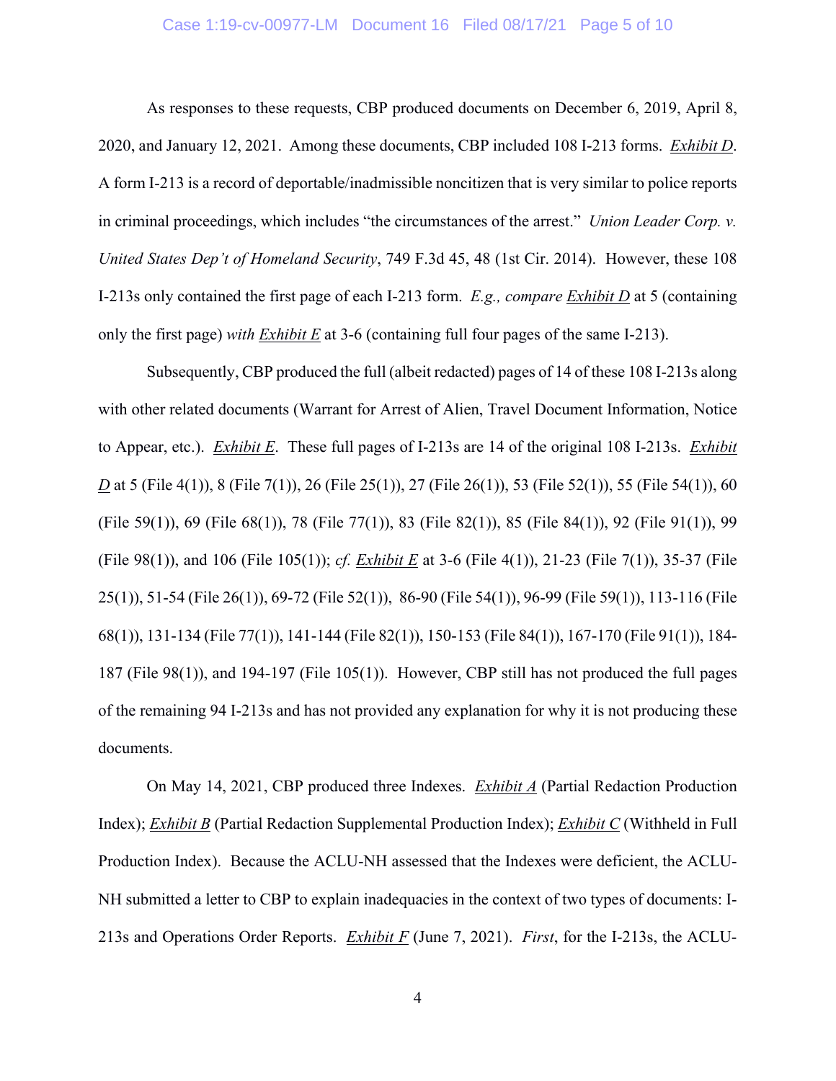## Case 1:19-cv-00977-LM Document 16 Filed 08/17/21 Page 5 of 10

As responses to these requests, CBP produced documents on December 6, 2019, April 8, 2020, and January 12, 2021. Among these documents, CBP included 108 I-213 forms. *Exhibit D*. A form I-213 is a record of deportable/inadmissible noncitizen that is very similar to police reports in criminal proceedings, which includes "the circumstances of the arrest." *Union Leader Corp. v. United States Dep't of Homeland Security*, 749 F.3d 45, 48 (1st Cir. 2014). However, these 108 I-213s only contained the first page of each I-213 form. *E.g., compare Exhibit D* at 5 (containing only the first page) *with Exhibit E* at 3-6 (containing full four pages of the same I-213).

Subsequently, CBP produced the full (albeit redacted) pages of 14 of these 108 I-213s along with other related documents (Warrant for Arrest of Alien, Travel Document Information, Notice to Appear, etc.). *Exhibit E*. These full pages of I-213s are 14 of the original 108 I-213s. *Exhibit D* at 5 (File 4(1)), 8 (File 7(1)), 26 (File 25(1)), 27 (File 26(1)), 53 (File 52(1)), 55 (File 54(1)), 60 (File 59(1)), 69 (File 68(1)), 78 (File 77(1)), 83 (File 82(1)), 85 (File 84(1)), 92 (File 91(1)), 99 (File 98(1)), and 106 (File 105(1)); *cf. Exhibit E* at 3-6 (File 4(1)), 21-23 (File 7(1)), 35-37 (File 25(1)), 51-54 (File 26(1)), 69-72 (File 52(1)), 86-90 (File 54(1)), 96-99 (File 59(1)), 113-116 (File 68(1)), 131-134 (File 77(1)), 141-144 (File 82(1)), 150-153 (File 84(1)), 167-170 (File 91(1)), 184- 187 (File 98(1)), and 194-197 (File 105(1)). However, CBP still has not produced the full pages of the remaining 94 I-213s and has not provided any explanation for why it is not producing these documents.

On May 14, 2021, CBP produced three Indexes. *Exhibit A* (Partial Redaction Production Index); *Exhibit B* (Partial Redaction Supplemental Production Index); *Exhibit C* (Withheld in Full Production Index). Because the ACLU-NH assessed that the Indexes were deficient, the ACLU-NH submitted a letter to CBP to explain inadequacies in the context of two types of documents: I-213s and Operations Order Reports. *Exhibit F* (June 7, 2021). *First*, for the I-213s, the ACLU-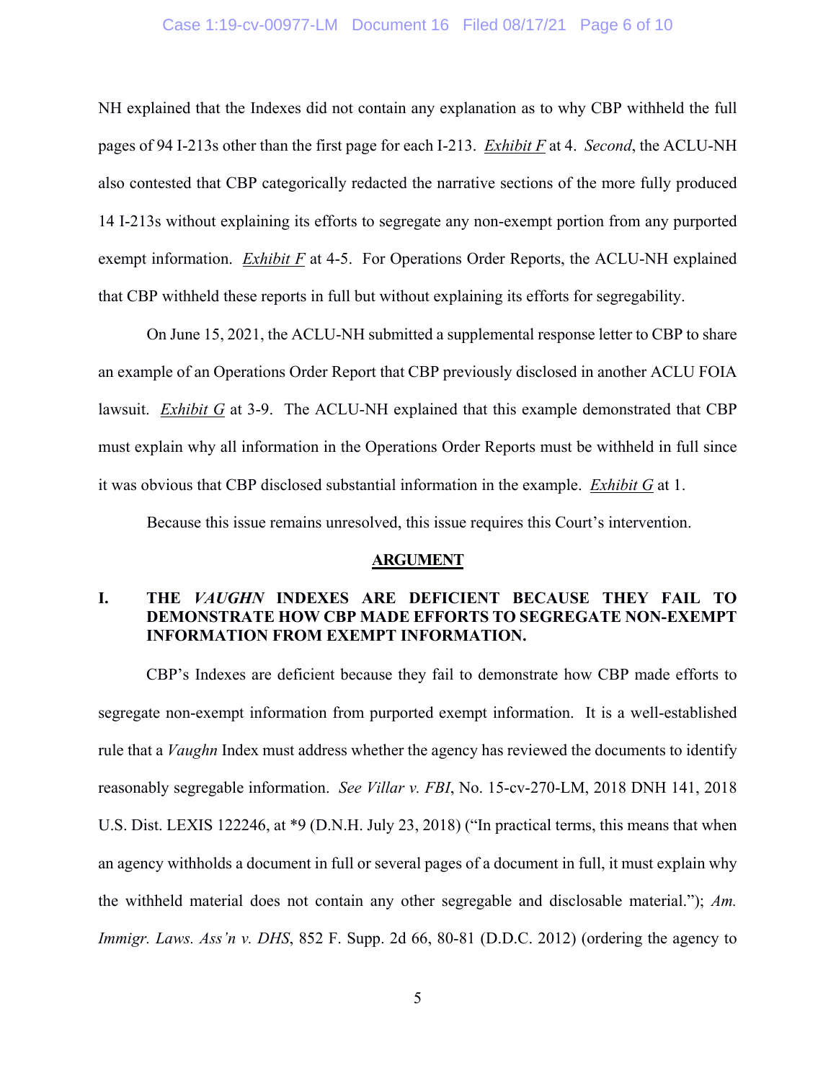## Case 1:19-cv-00977-LM Document 16 Filed 08/17/21 Page 6 of 10

NH explained that the Indexes did not contain any explanation as to why CBP withheld the full pages of 94 I-213s other than the first page for each I-213. *Exhibit F* at 4. *Second*, the ACLU-NH also contested that CBP categorically redacted the narrative sections of the more fully produced 14 I-213s without explaining its efforts to segregate any non-exempt portion from any purported exempt information. *Exhibit F* at 4-5. For Operations Order Reports, the ACLU-NH explained that CBP withheld these reports in full but without explaining its efforts for segregability.

On June 15, 2021, the ACLU-NH submitted a supplemental response letter to CBP to share an example of an Operations Order Report that CBP previously disclosed in another ACLU FOIA lawsuit. *Exhibit G* at 3-9. The ACLU-NH explained that this example demonstrated that CBP must explain why all information in the Operations Order Reports must be withheld in full since it was obvious that CBP disclosed substantial information in the example. *Exhibit G* at 1.

Because this issue remains unresolved, this issue requires this Court's intervention.

#### **ARGUMENT**

## **I. THE** *VAUGHN* **INDEXES ARE DEFICIENT BECAUSE THEY FAIL TO DEMONSTRATE HOW CBP MADE EFFORTS TO SEGREGATE NON-EXEMPT INFORMATION FROM EXEMPT INFORMATION.**

CBP's Indexes are deficient because they fail to demonstrate how CBP made efforts to segregate non-exempt information from purported exempt information. It is a well-established rule that a *Vaughn* Index must address whether the agency has reviewed the documents to identify reasonably segregable information. *See Villar v. FBI*, No. 15-cv-270-LM, 2018 DNH 141, 2018 U.S. Dist. LEXIS 122246, at \*9 (D.N.H. July 23, 2018) ("In practical terms, this means that when an agency withholds a document in full or several pages of a document in full, it must explain why the withheld material does not contain any other segregable and disclosable material."); *Am. Immigr. Laws. Ass'n v. DHS*, 852 F. Supp. 2d 66, 80-81 (D.D.C. 2012) (ordering the agency to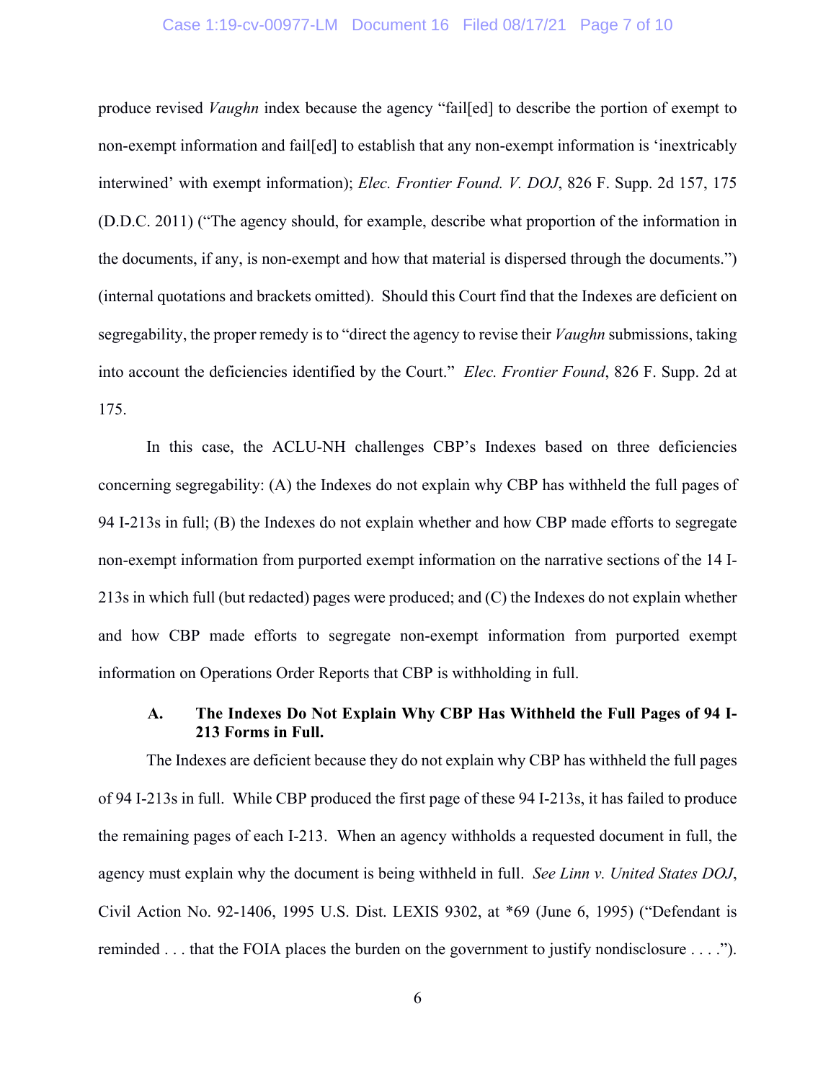## Case 1:19-cv-00977-LM Document 16 Filed 08/17/21 Page 7 of 10

produce revised *Vaughn* index because the agency "fail[ed] to describe the portion of exempt to non-exempt information and fail[ed] to establish that any non-exempt information is 'inextricably interwined' with exempt information); *Elec. Frontier Found. V. DOJ*, 826 F. Supp. 2d 157, 175 (D.D.C. 2011) ("The agency should, for example, describe what proportion of the information in the documents, if any, is non-exempt and how that material is dispersed through the documents.") (internal quotations and brackets omitted). Should this Court find that the Indexes are deficient on segregability, the proper remedy is to "direct the agency to revise their *Vaughn* submissions, taking into account the deficiencies identified by the Court." *Elec. Frontier Found*, 826 F. Supp. 2d at 175.

In this case, the ACLU-NH challenges CBP's Indexes based on three deficiencies concerning segregability: (A) the Indexes do not explain why CBP has withheld the full pages of 94 I-213s in full; (B) the Indexes do not explain whether and how CBP made efforts to segregate non-exempt information from purported exempt information on the narrative sections of the 14 I-213s in which full (but redacted) pages were produced; and (C) the Indexes do not explain whether and how CBP made efforts to segregate non-exempt information from purported exempt information on Operations Order Reports that CBP is withholding in full.

# **A. The Indexes Do Not Explain Why CBP Has Withheld the Full Pages of 94 I-213 Forms in Full.**

The Indexes are deficient because they do not explain why CBP has withheld the full pages of 94 I-213s in full. While CBP produced the first page of these 94 I-213s, it has failed to produce the remaining pages of each I-213. When an agency withholds a requested document in full, the agency must explain why the document is being withheld in full. *See Linn v. United States DOJ*, Civil Action No. 92-1406, 1995 U.S. Dist. LEXIS 9302, at \*69 (June 6, 1995) ("Defendant is reminded . . . that the FOIA places the burden on the government to justify nondisclosure . . . .").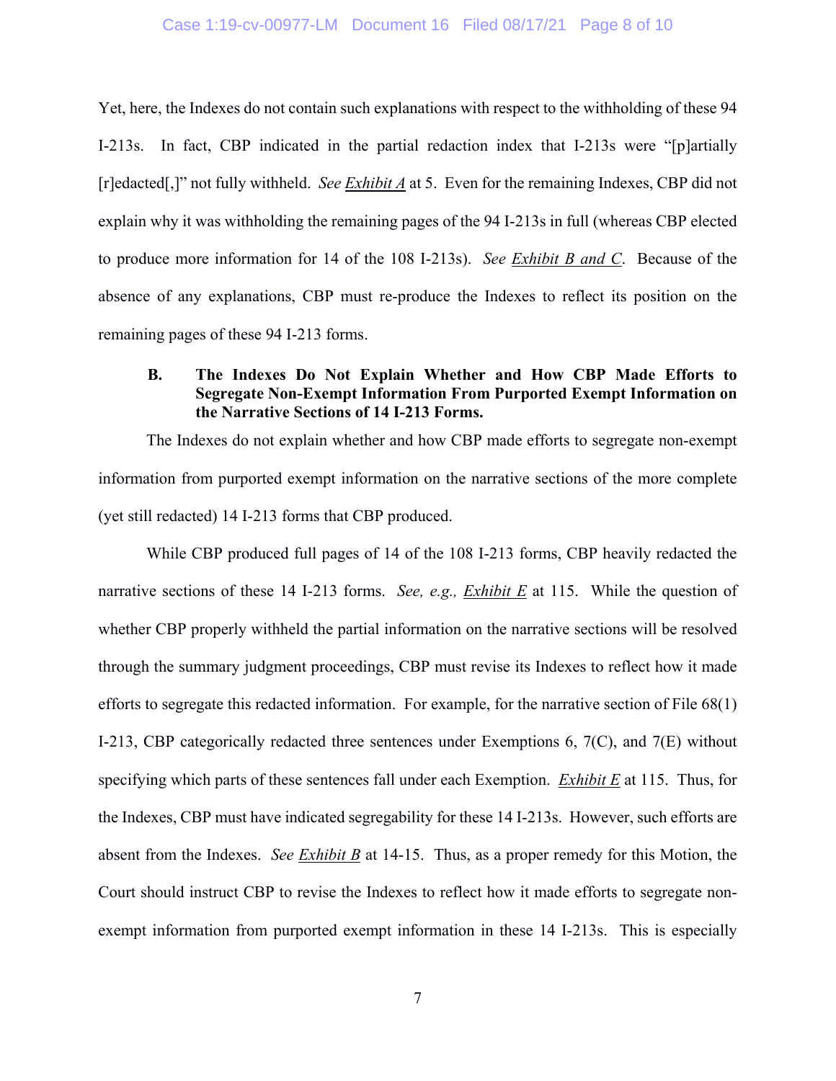### Case 1:19-cv-00977-LM Document 16 Filed 08/17/21 Page 8 of 10

Yet, here, the Indexes do not contain such explanations with respect to the withholding of these 94 I-213s. In fact, CBP indicated in the partial redaction index that I-213s were "[p]artially [r]edacted[,]" not fully withheld. *See Exhibit A* at 5. Even for the remaining Indexes, CBP did not explain why it was withholding the remaining pages of the 94 I-213s in full (whereas CBP elected to produce more information for 14 of the 108 I-213s). *See Exhibit B and C*. Because of the absence of any explanations, CBP must re-produce the Indexes to reflect its position on the remaining pages of these 94 I-213 forms.

## **B. The Indexes Do Not Explain Whether and How CBP Made Efforts to Segregate Non-Exempt Information From Purported Exempt Information on the Narrative Sections of 14 I-213 Forms.**

The Indexes do not explain whether and how CBP made efforts to segregate non-exempt information from purported exempt information on the narrative sections of the more complete (yet still redacted) 14 I-213 forms that CBP produced.

While CBP produced full pages of 14 of the 108 I-213 forms, CBP heavily redacted the narrative sections of these 14 I-213 forms. *See, e.g., Exhibit E* at 115. While the question of whether CBP properly withheld the partial information on the narrative sections will be resolved through the summary judgment proceedings, CBP must revise its Indexes to reflect how it made efforts to segregate this redacted information. For example, for the narrative section of File 68(1) I-213, CBP categorically redacted three sentences under Exemptions 6, 7(C), and 7(E) without specifying which parts of these sentences fall under each Exemption. *Exhibit E* at 115. Thus, for the Indexes, CBP must have indicated segregability for these 14 I-213s. However, such efforts are absent from the Indexes. *See Exhibit B* at 14-15. Thus, as a proper remedy for this Motion, the Court should instruct CBP to revise the Indexes to reflect how it made efforts to segregate nonexempt information from purported exempt information in these 14 I-213s. This is especially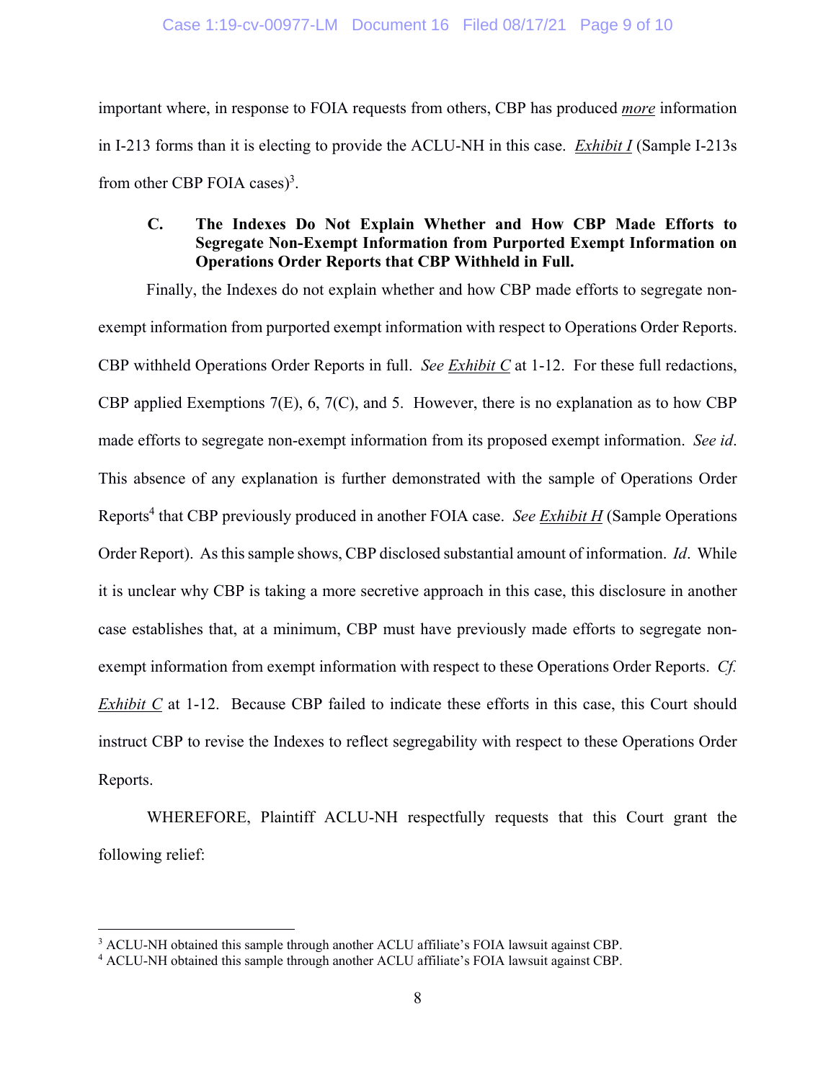important where, in response to FOIA requests from others, CBP has produced *more* information in I-213 forms than it is electing to provide the ACLU-NH in this case. *Exhibit I* (Sample I-213s from other CBP FOIA cases)<sup>3</sup>.

# **C. The Indexes Do Not Explain Whether and How CBP Made Efforts to Segregate Non-Exempt Information from Purported Exempt Information on Operations Order Reports that CBP Withheld in Full.**

Finally, the Indexes do not explain whether and how CBP made efforts to segregate nonexempt information from purported exempt information with respect to Operations Order Reports. CBP withheld Operations Order Reports in full. *See Exhibit C* at 1-12. For these full redactions, CBP applied Exemptions 7(E), 6, 7(C), and 5. However, there is no explanation as to how CBP made efforts to segregate non-exempt information from its proposed exempt information. *See id*. This absence of any explanation is further demonstrated with the sample of Operations Order Reports<sup>4</sup> that CBP previously produced in another FOIA case. *See Exhibit H* (Sample Operations Order Report). As this sample shows, CBP disclosed substantial amount of information. *Id*. While it is unclear why CBP is taking a more secretive approach in this case, this disclosure in another case establishes that, at a minimum, CBP must have previously made efforts to segregate nonexempt information from exempt information with respect to these Operations Order Reports. *Cf. Exhibit C* at 1-12. Because CBP failed to indicate these efforts in this case, this Court should instruct CBP to revise the Indexes to reflect segregability with respect to these Operations Order Reports.

 WHEREFORE, Plaintiff ACLU-NH respectfully requests that this Court grant the following relief:

 $\overline{a}$ 

 $\frac{3}{4}$  ACLU-NH obtained this sample through another ACLU affiliate's FOIA lawsuit against CBP.<br> $\frac{4}{4}$  ACLU-NH obtained this sample through another ACLU affiliate's FOIA lawsuit against CBP

<sup>&</sup>lt;sup>4</sup> ACLU-NH obtained this sample through another ACLU affiliate's FOIA lawsuit against CBP.